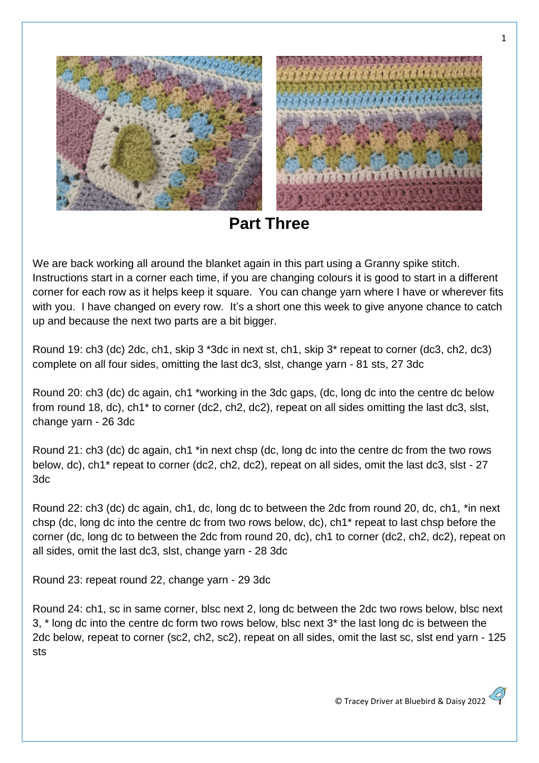

**Part Three**

We are back working all around the blanket again in this part using a Granny spike stitch. Instructions start in a corner each time, if you are changing colours it is good to start in a different corner for each row as it helps keep it square. You can change yarn where I have or wherever fits with you. I have changed on every row. It's a short one this week to give anyone chance to catch up and because the next two parts are a bit bigger.

Round 19: ch3 (dc) 2dc, ch1, skip 3 \*3dc in next st, ch1, skip 3\* repeat to corner (dc3, ch2, dc3) complete on all four sides, omitting the last dc3, slst, change yarn - 81 sts, 27 3dc

Round 20: ch3 (dc) dc again, ch1 \*working in the 3dc gaps, (dc, long dc into the centre dc below from round 18, dc), ch1\* to corner (dc2, ch2, dc2), repeat on all sides omitting the last dc3, slst, change yarn - 26 3dc

Round 21: ch3 (dc) dc again, ch1 \*in next chsp (dc, long dc into the centre dc from the two rows below, dc), ch1\* repeat to corner (dc2, ch2, dc2), repeat on all sides, omit the last dc3, slst - 27 3dc

Round 22: ch3 (dc) dc again, ch1, dc, long dc to between the 2dc from round 20, dc, ch1, \*in next chsp (dc, long dc into the centre dc from two rows below, dc), ch1\* repeat to last chsp before the corner (dc, long dc to between the 2dc from round 20, dc), ch1 to corner (dc2, ch2, dc2), repeat on all sides, omit the last dc3, slst, change yarn - 28 3dc

Round 23: repeat round 22, change yarn - 29 3dc

Round 24: ch1, sc in same corner, blsc next 2, long dc between the 2dc two rows below, blsc next 3, \* long dc into the centre dc form two rows below, blsc next 3\* the last long dc is between the 2dc below, repeat to corner (sc2, ch2, sc2), repeat on all sides, omit the last sc, slst end yarn - 125 sts